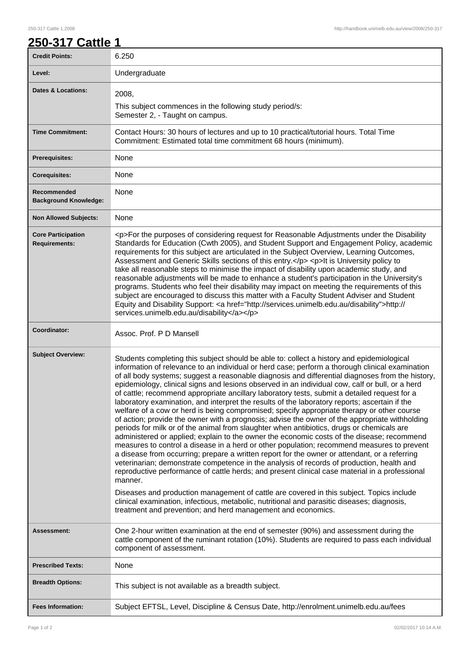## **250-317 Cattle 1**

| , , , ,                                           |                                                                                                                                                                                                                                                                                                                                                                                                                                                                                                                                                                                                                                                                                                                                                                                                                                                                                                                                                                                                                                                                                                                                                                                                                                                                                                                                                                                                                                                                                                                                                                                                                                                                     |
|---------------------------------------------------|---------------------------------------------------------------------------------------------------------------------------------------------------------------------------------------------------------------------------------------------------------------------------------------------------------------------------------------------------------------------------------------------------------------------------------------------------------------------------------------------------------------------------------------------------------------------------------------------------------------------------------------------------------------------------------------------------------------------------------------------------------------------------------------------------------------------------------------------------------------------------------------------------------------------------------------------------------------------------------------------------------------------------------------------------------------------------------------------------------------------------------------------------------------------------------------------------------------------------------------------------------------------------------------------------------------------------------------------------------------------------------------------------------------------------------------------------------------------------------------------------------------------------------------------------------------------------------------------------------------------------------------------------------------------|
| <b>Credit Points:</b>                             | 6.250                                                                                                                                                                                                                                                                                                                                                                                                                                                                                                                                                                                                                                                                                                                                                                                                                                                                                                                                                                                                                                                                                                                                                                                                                                                                                                                                                                                                                                                                                                                                                                                                                                                               |
| Level:                                            | Undergraduate                                                                                                                                                                                                                                                                                                                                                                                                                                                                                                                                                                                                                                                                                                                                                                                                                                                                                                                                                                                                                                                                                                                                                                                                                                                                                                                                                                                                                                                                                                                                                                                                                                                       |
| <b>Dates &amp; Locations:</b>                     | 2008,<br>This subject commences in the following study period/s:<br>Semester 2, - Taught on campus.                                                                                                                                                                                                                                                                                                                                                                                                                                                                                                                                                                                                                                                                                                                                                                                                                                                                                                                                                                                                                                                                                                                                                                                                                                                                                                                                                                                                                                                                                                                                                                 |
| <b>Time Commitment:</b>                           | Contact Hours: 30 hours of lectures and up to 10 practical/tutorial hours. Total Time<br>Commitment: Estimated total time commitment 68 hours (minimum).                                                                                                                                                                                                                                                                                                                                                                                                                                                                                                                                                                                                                                                                                                                                                                                                                                                                                                                                                                                                                                                                                                                                                                                                                                                                                                                                                                                                                                                                                                            |
| <b>Prerequisites:</b>                             | None                                                                                                                                                                                                                                                                                                                                                                                                                                                                                                                                                                                                                                                                                                                                                                                                                                                                                                                                                                                                                                                                                                                                                                                                                                                                                                                                                                                                                                                                                                                                                                                                                                                                |
| <b>Corequisites:</b>                              | None                                                                                                                                                                                                                                                                                                                                                                                                                                                                                                                                                                                                                                                                                                                                                                                                                                                                                                                                                                                                                                                                                                                                                                                                                                                                                                                                                                                                                                                                                                                                                                                                                                                                |
| Recommended<br><b>Background Knowledge:</b>       | None                                                                                                                                                                                                                                                                                                                                                                                                                                                                                                                                                                                                                                                                                                                                                                                                                                                                                                                                                                                                                                                                                                                                                                                                                                                                                                                                                                                                                                                                                                                                                                                                                                                                |
| <b>Non Allowed Subjects:</b>                      | None                                                                                                                                                                                                                                                                                                                                                                                                                                                                                                                                                                                                                                                                                                                                                                                                                                                                                                                                                                                                                                                                                                                                                                                                                                                                                                                                                                                                                                                                                                                                                                                                                                                                |
| <b>Core Participation</b><br><b>Requirements:</b> | <p>For the purposes of considering request for Reasonable Adjustments under the Disability<br/>Standards for Education (Cwth 2005), and Student Support and Engagement Policy, academic<br/>requirements for this subject are articulated in the Subject Overview, Learning Outcomes,<br/>Assessment and Generic Skills sections of this entry.</p> <p>lt is University policy to<br/>take all reasonable steps to minimise the impact of disability upon academic study, and<br/>reasonable adjustments will be made to enhance a student's participation in the University's<br/>programs. Students who feel their disability may impact on meeting the requirements of this<br/>subject are encouraged to discuss this matter with a Faculty Student Adviser and Student<br/>Equity and Disability Support: &lt; a href="http://services.unimelb.edu.au/disability"&gt;http://<br/>services.unimelb.edu.au/disability</p>                                                                                                                                                                                                                                                                                                                                                                                                                                                                                                                                                                                                                                                                                                                                        |
| Coordinator:                                      | Assoc. Prof. P D Mansell                                                                                                                                                                                                                                                                                                                                                                                                                                                                                                                                                                                                                                                                                                                                                                                                                                                                                                                                                                                                                                                                                                                                                                                                                                                                                                                                                                                                                                                                                                                                                                                                                                            |
| <b>Subject Overview:</b>                          | Students completing this subject should be able to: collect a history and epidemiological<br>information of relevance to an individual or herd case; perform a thorough clinical examination<br>of all body systems; suggest a reasonable diagnosis and differential diagnoses from the history,<br>epidemiology, clinical signs and lesions observed in an individual cow, calf or bull, or a herd<br>of cattle; recommend appropriate ancillary laboratory tests, submit a detailed request for a<br>laboratory examination, and interpret the results of the laboratory reports; ascertain if the<br>welfare of a cow or herd is being compromised; specify appropriate therapy or other course<br>of action; provide the owner with a prognosis; advise the owner of the appropriate withholding<br>periods for milk or of the animal from slaughter when antibiotics, drugs or chemicals are<br>administered or applied; explain to the owner the economic costs of the disease; recommend<br>measures to control a disease in a herd or other population; recommend measures to prevent<br>a disease from occurring; prepare a written report for the owner or attendant, or a referring<br>veterinarian; demonstrate competence in the analysis of records of production, health and<br>reproductive performance of cattle herds; and present clinical case material in a professional<br>manner.<br>Diseases and production management of cattle are covered in this subject. Topics include<br>clinical examination, infectious, metabolic, nutritional and parasitic diseases; diagnosis,<br>treatment and prevention; and herd management and economics. |
| Assessment:                                       | One 2-hour written examination at the end of semester (90%) and assessment during the<br>cattle component of the ruminant rotation (10%). Students are required to pass each individual<br>component of assessment.                                                                                                                                                                                                                                                                                                                                                                                                                                                                                                                                                                                                                                                                                                                                                                                                                                                                                                                                                                                                                                                                                                                                                                                                                                                                                                                                                                                                                                                 |
| <b>Prescribed Texts:</b>                          | None                                                                                                                                                                                                                                                                                                                                                                                                                                                                                                                                                                                                                                                                                                                                                                                                                                                                                                                                                                                                                                                                                                                                                                                                                                                                                                                                                                                                                                                                                                                                                                                                                                                                |
| <b>Breadth Options:</b>                           | This subject is not available as a breadth subject.                                                                                                                                                                                                                                                                                                                                                                                                                                                                                                                                                                                                                                                                                                                                                                                                                                                                                                                                                                                                                                                                                                                                                                                                                                                                                                                                                                                                                                                                                                                                                                                                                 |
| <b>Fees Information:</b>                          | Subject EFTSL, Level, Discipline & Census Date, http://enrolment.unimelb.edu.au/fees                                                                                                                                                                                                                                                                                                                                                                                                                                                                                                                                                                                                                                                                                                                                                                                                                                                                                                                                                                                                                                                                                                                                                                                                                                                                                                                                                                                                                                                                                                                                                                                |